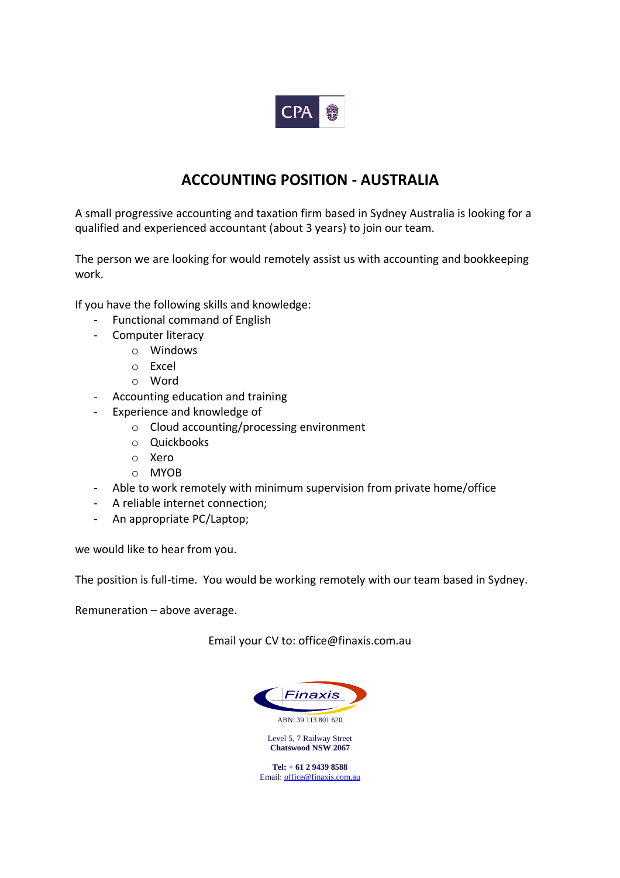

## **ACCOUNTING POSITION - AUSTRALIA**

A small progressive accounting and taxation firm based in Sydney Australia is looking for a qualified and experienced accountant (about 3 years) to join our team.

The person we are looking for would remotely assist us with accounting and bookkeeping work.

If you have the following skills and knowledge:

- Functional command of English
- Computer literacy
	- o Windows
	- o Excel
	- o Word
- Accounting education and training
- Experience and knowledge of
	- o Cloud accounting/processing environment
	- o Quickbooks
	- o Xero
	- o MYOB
- Able to work remotely with minimum supervision from private home/office
- A reliable internet connection;
- An appropriate PC/Laptop;

we would like to hear from you.

The position is full-time. You would be working remotely with our team based in Sydney.

Remuneration – above average.

Email your CV to: office@finaxis.com.au



Level 5, 7 Railway Street **Chatswood NSW 2067**

**Tel: + 61 2 9439 8588** Email[: office@finaxis.com.au](mailto:office@finaxis.com.au)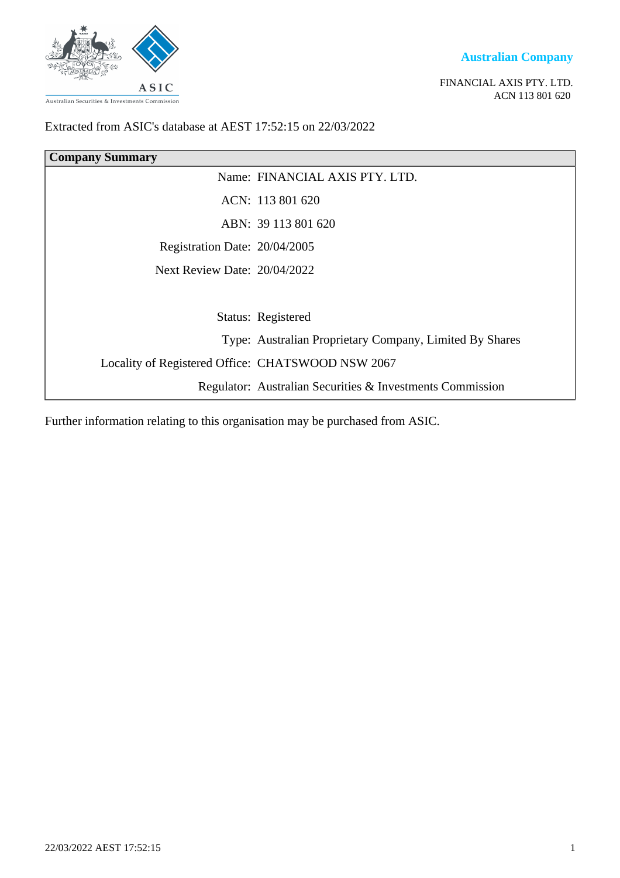

**Australian Company**

FINANCIAL AXIS PTY. LTD. ACN 113 801 620

### Extracted from ASIC's database at AEST 17:52:15 on 22/03/2022

| <b>Company Summary</b>                            |                                                           |  |
|---------------------------------------------------|-----------------------------------------------------------|--|
|                                                   | Name: FINANCIAL AXIS PTY. LTD.                            |  |
|                                                   | ACN: 113 801 620                                          |  |
|                                                   | ABN: 39 113 801 620                                       |  |
| Registration Date: 20/04/2005                     |                                                           |  |
| Next Review Date: $20/04/2022$                    |                                                           |  |
|                                                   |                                                           |  |
|                                                   | Status: Registered                                        |  |
|                                                   | Type: Australian Proprietary Company, Limited By Shares   |  |
| Locality of Registered Office: CHATSWOOD NSW 2067 |                                                           |  |
|                                                   | Regulator: Australian Securities & Investments Commission |  |

Further information relating to this organisation may be purchased from ASIC.